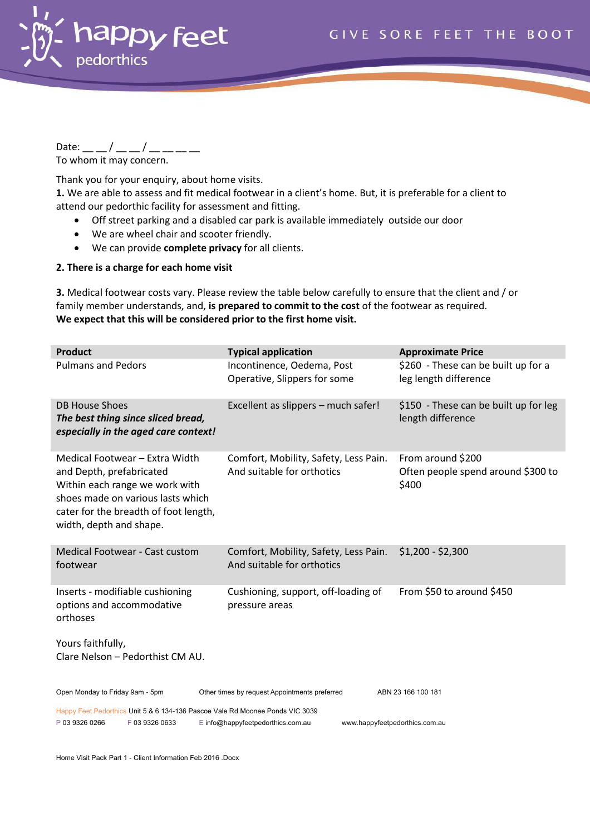

Date: \_\_ \_ / \_\_ \_ / \_\_ \_\_ \_ \_ To whom it may concern.

Thank you for your enquiry, about home visits.

1. We are able to assess and fit medical footwear in a client's home. But, it is preferable for a client to attend our pedorthic facility for assessment and fitting.

- Off street parking and a disabled car park is available immediately outside our door
- We are wheel chair and scooter friendly.
- We can provide **complete privacy** for all clients.

#### **2. There is a charge for each home visit**

**3.** Medical footwear costs vary. Please review the table below carefully to ensure that the client and / or family member understands, and, **is prepared to commit to the cost** of the footwear as required. **We expect that this will be considered prior to the first home visit.** 

| <b>Product</b>                                                                                                                                                                                        | <b>Typical application</b>                                          | <b>Approximate Price</b>                                         |  |  |  |  |  |  |  |
|-------------------------------------------------------------------------------------------------------------------------------------------------------------------------------------------------------|---------------------------------------------------------------------|------------------------------------------------------------------|--|--|--|--|--|--|--|
| <b>Pulmans and Pedors</b>                                                                                                                                                                             | Incontinence, Oedema, Post<br>Operative, Slippers for some          | \$260 - These can be built up for a<br>leg length difference     |  |  |  |  |  |  |  |
| <b>DB House Shoes</b><br>The best thing since sliced bread,<br>especially in the aged care context!                                                                                                   | Excellent as slippers - much safer!                                 | \$150 - These can be built up for leg<br>length difference       |  |  |  |  |  |  |  |
| Medical Footwear - Extra Width<br>and Depth, prefabricated<br>Within each range we work with<br>shoes made on various lasts which<br>cater for the breadth of foot length,<br>width, depth and shape. | Comfort, Mobility, Safety, Less Pain.<br>And suitable for orthotics | From around \$200<br>Often people spend around \$300 to<br>\$400 |  |  |  |  |  |  |  |
| <b>Medical Footwear - Cast custom</b><br>footwear                                                                                                                                                     | Comfort, Mobility, Safety, Less Pain.<br>And suitable for orthotics | $$1,200 - $2,300$                                                |  |  |  |  |  |  |  |
| Inserts - modifiable cushioning<br>options and accommodative<br>orthoses                                                                                                                              | Cushioning, support, off-loading of<br>pressure areas               | From \$50 to around \$450                                        |  |  |  |  |  |  |  |
| Yours faithfully,<br>Clare Nelson - Pedorthist CM AU.                                                                                                                                                 |                                                                     |                                                                  |  |  |  |  |  |  |  |
| Open Monday to Friday 9am - 5pm                                                                                                                                                                       | Other times by request Appointments preferred                       | ABN 23 166 100 181                                               |  |  |  |  |  |  |  |
| Happy Feet Pedorthics Unit 5 & 6 134-136 Pascoe Vale Rd Moonee Ponds VIC 3039<br>P 03 9326 0266<br>F 03 9326 0633<br>E info@happyfeetpedorthics.com.au<br>www.happyfeetpedorthics.com.au              |                                                                     |                                                                  |  |  |  |  |  |  |  |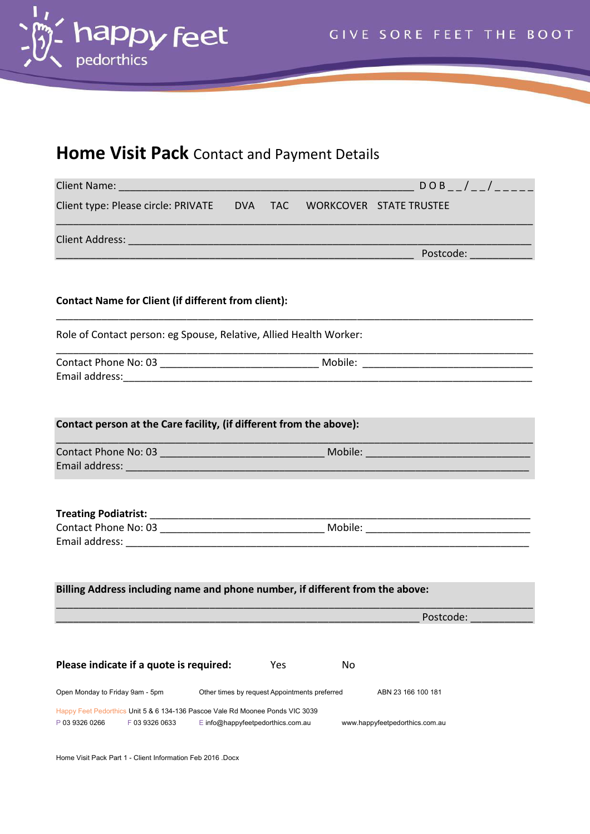

# **Home Visit Pack** Contact and Payment Details

| Client type: Please circle: PRIVATE  DVA  TAC  WORKCOVER  STATE TRUSTEE                                           |                                               |     |    |                                                                                                                      |
|-------------------------------------------------------------------------------------------------------------------|-----------------------------------------------|-----|----|----------------------------------------------------------------------------------------------------------------------|
|                                                                                                                   |                                               |     |    |                                                                                                                      |
|                                                                                                                   |                                               |     |    | <u> Postcode: Alexander Alexander Alexander Alexander Alexander Alexander Alexander Alexander Alexander Alexande</u> |
|                                                                                                                   |                                               |     |    |                                                                                                                      |
| <b>Contact Name for Client (if different from client):</b>                                                        |                                               |     |    |                                                                                                                      |
| Role of Contact person: eg Spouse, Relative, Allied Health Worker:                                                |                                               |     |    |                                                                                                                      |
|                                                                                                                   |                                               |     |    |                                                                                                                      |
|                                                                                                                   |                                               |     |    |                                                                                                                      |
| Contact person at the Care facility, (if different from the above):                                               |                                               |     |    |                                                                                                                      |
|                                                                                                                   |                                               |     |    |                                                                                                                      |
|                                                                                                                   |                                               |     |    |                                                                                                                      |
|                                                                                                                   |                                               |     |    |                                                                                                                      |
|                                                                                                                   |                                               |     |    |                                                                                                                      |
|                                                                                                                   |                                               |     |    |                                                                                                                      |
|                                                                                                                   |                                               |     |    |                                                                                                                      |
|                                                                                                                   |                                               |     |    |                                                                                                                      |
| Billing Address including name and phone number, if different from the above:                                     |                                               |     |    |                                                                                                                      |
|                                                                                                                   |                                               |     |    | Postcode:                                                                                                            |
|                                                                                                                   |                                               |     |    |                                                                                                                      |
| Please indicate if a quote is required:                                                                           |                                               | Yes | No |                                                                                                                      |
| Open Monday to Friday 9am - 5pm                                                                                   | Other times by request Appointments preferred |     |    | ABN 23 166 100 181                                                                                                   |
| Happy Feet Pedorthics Unit 5 & 6 134-136 Pascoe Vale Rd Moonee Ponds VIC 3039<br>P 03 9326 0266<br>F 03 9326 0633 | E info@happyfeetpedorthics.com.au             |     |    | www.happyfeetpedorthics.com.au                                                                                       |

Home Visit Pack Part 1 - Client Information Feb 2016 .Docx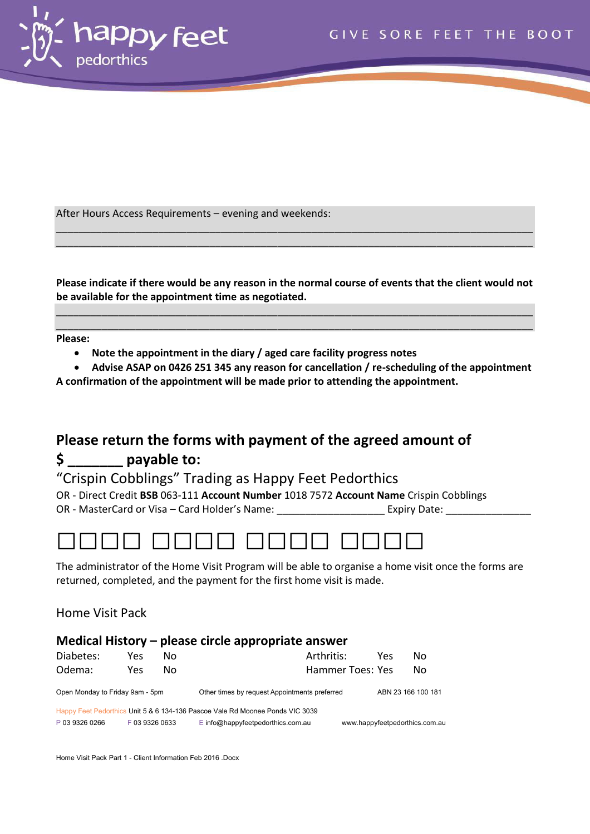

After Hours Access Requirements – evening and weekends:

**Please indicate if there would be any reason in the normal course of events that the client would not be available for the appointment time as negotiated.** 

\_\_\_\_\_\_\_\_\_\_\_\_\_\_\_\_\_\_\_\_\_\_\_\_\_\_\_\_\_\_\_\_\_\_\_\_\_\_\_\_\_\_\_\_\_\_\_\_\_\_\_\_\_\_\_\_\_\_\_\_\_\_\_\_\_\_\_\_\_\_\_\_\_\_\_\_\_\_\_\_\_\_\_\_ \_\_\_\_\_\_\_\_\_\_\_\_\_\_\_\_\_\_\_\_\_\_\_\_\_\_\_\_\_\_\_\_\_\_\_\_\_\_\_\_\_\_\_\_\_\_\_\_\_\_\_\_\_\_\_\_\_\_\_\_\_\_\_\_\_\_\_\_\_\_\_\_\_\_\_\_\_\_\_\_\_\_\_\_

\_\_\_\_\_\_\_\_\_\_\_\_\_\_\_\_\_\_\_\_\_\_\_\_\_\_\_\_\_\_\_\_\_\_\_\_\_\_\_\_\_\_\_\_\_\_\_\_\_\_\_\_\_\_\_\_\_\_\_\_\_\_\_\_\_\_\_\_\_\_\_\_\_\_\_\_\_\_\_\_\_\_\_\_ \_\_\_\_\_\_\_\_\_\_\_\_\_\_\_\_\_\_\_\_\_\_\_\_\_\_\_\_\_\_\_\_\_\_\_\_\_\_\_\_\_\_\_\_\_\_\_\_\_\_\_\_\_\_\_\_\_\_\_\_\_\_\_\_\_\_\_\_\_\_\_\_\_\_\_\_\_\_\_\_\_\_\_\_

**Please:** 

**Note the appointment in the diary / aged care facility progress notes** 

 **Advise ASAP on 0426 251 345 any reason for cancellation / re-scheduling of the appointment A confirmation of the appointment will be made prior to attending the appointment.** 

# **Please return the forms with payment of the agreed amount of \$ \_\_\_\_\_\_\_ payable to:**

"Crispin Cobblings" Trading as Happy Feet Pedorthics

OR - Direct Credit **BSB** 063-111 **Account Number** 1018 7572 **Account Name** Crispin Cobblings OR - MasterCard or Visa – Card Holder's Name: \_\_\_\_\_\_\_\_\_\_\_\_\_\_\_\_\_\_\_\_\_\_\_\_\_\_\_\_\_\_\_\_\_\_ Expiry Date: \_\_\_\_\_\_\_\_\_\_\_\_



The administrator of the Home Visit Program will be able to organise a home visit once the forms are returned, completed, and the payment for the first home visit is made.

Home Visit Pack

#### **Medical History – please circle appropriate answer**  Diabetes: Yes No and Arthritis: Yes No

| Odema:                          | Yes.           | Nο |                                                                               | Hammer Toes: Yes |                                | Nο |
|---------------------------------|----------------|----|-------------------------------------------------------------------------------|------------------|--------------------------------|----|
| Open Monday to Friday 9am - 5pm |                |    | Other times by request Appointments preferred                                 |                  | ABN 23 166 100 181             |    |
|                                 |                |    | Happy Feet Pedorthics Unit 5 & 6 134-136 Pascoe Vale Rd Moonee Ponds VIC 3039 |                  |                                |    |
| P 03 9326 0266                  | F 03 9326 0633 |    | $E$ info@happyfeetpedorthics.com.au                                           |                  | www.happyfeetpedorthics.com.au |    |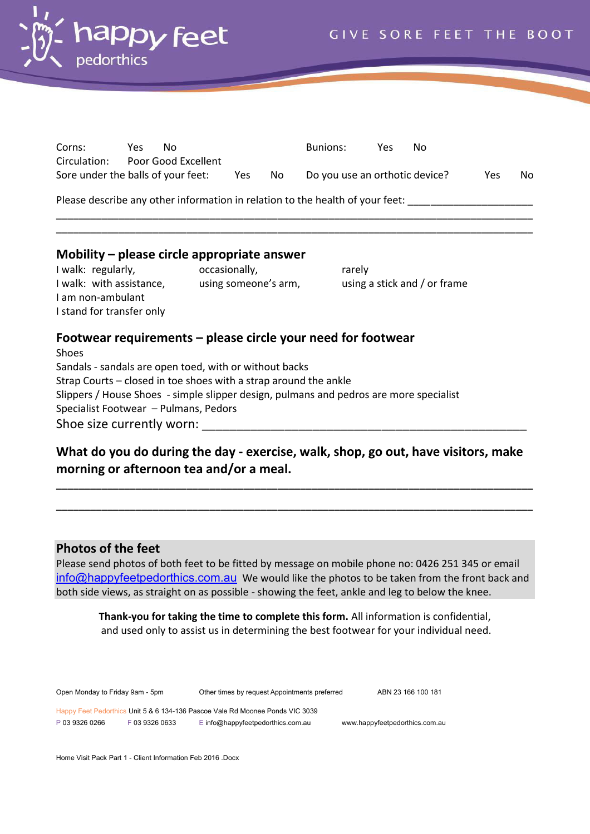

| Corns:                             | Yes. | Nο                  |     |     | <b>Bunions:</b>                                                               | Yes | No |     |     |
|------------------------------------|------|---------------------|-----|-----|-------------------------------------------------------------------------------|-----|----|-----|-----|
| Circulation:                       |      | Poor Good Excellent |     |     |                                                                               |     |    |     |     |
| Sore under the balls of your feet: |      |                     | Yes | No. | Do you use an orthotic device?                                                |     |    | Yes | No. |
|                                    |      |                     |     |     | Please describe any other information in relation to the health of your feet: |     |    |     |     |
|                                    |      |                     |     |     |                                                                               |     |    |     |     |
|                                    |      |                     |     |     |                                                                               |     |    |     |     |

### **Mobility – please circle appropriate answer**

I walk: regularly, and the occasionally, the contract rarely I walk: with assistance, using someone's arm, using a stick and / or frame I am non-ambulant I stand for transfer only

#### **Footwear requirements – please circle your need for footwear**

Shoes Sandals - sandals are open toed, with or without backs Strap Courts – closed in toe shoes with a strap around the ankle Slippers / House Shoes - simple slipper design, pulmans and pedros are more specialist Specialist Footwear – Pulmans, Pedors Shoe size currently worn:

## **What do you do during the day - exercise, walk, shop, go out, have visitors, make morning or afternoon tea and/or a meal.**

**\_\_\_\_\_\_\_\_\_\_\_\_\_\_\_\_\_\_\_\_\_\_\_\_\_\_\_\_\_\_\_\_\_\_\_\_\_\_\_\_\_\_\_\_\_\_\_\_\_\_\_\_\_\_\_\_\_\_\_\_\_\_\_\_\_\_\_\_\_\_\_\_\_\_\_\_\_\_\_\_\_\_\_\_**

**\_\_\_\_\_\_\_\_\_\_\_\_\_\_\_\_\_\_\_\_\_\_\_\_\_\_\_\_\_\_\_\_\_\_\_\_\_\_\_\_\_\_\_\_\_\_\_\_\_\_\_\_\_\_\_\_\_\_\_\_\_\_\_\_\_\_\_\_\_\_\_\_\_\_\_\_\_\_\_\_\_\_\_\_** 

#### **Photos of the feet**

Please send photos of both feet to be fitted by message on mobile phone no: 0426 251 345 or email [info@happyfeetpedorthics.com.au](mailto:info@happyfeetpedorthics.com.au) We would like the photos to be taken from the front back and both side views, as straight on as possible - showing the feet, ankle and leg to below the knee.

**Thank-you for taking the time to complete this form.** All information is confidential, and used only to assist us in determining the best footwear for your individual need.

Open Monday to Friday 9am - 5pm Other times by request Appointments preferred ABN 23 166 100 181 Happy Feet Pedorthics Unit 5 & 6 134-136 Pascoe Vale Rd Moonee Ponds VIC 3039 P 03 9326 0266 F 03 9326 0633 E info@happyfeetpedorthics.com.au www.happyfeetpedorthics.com.au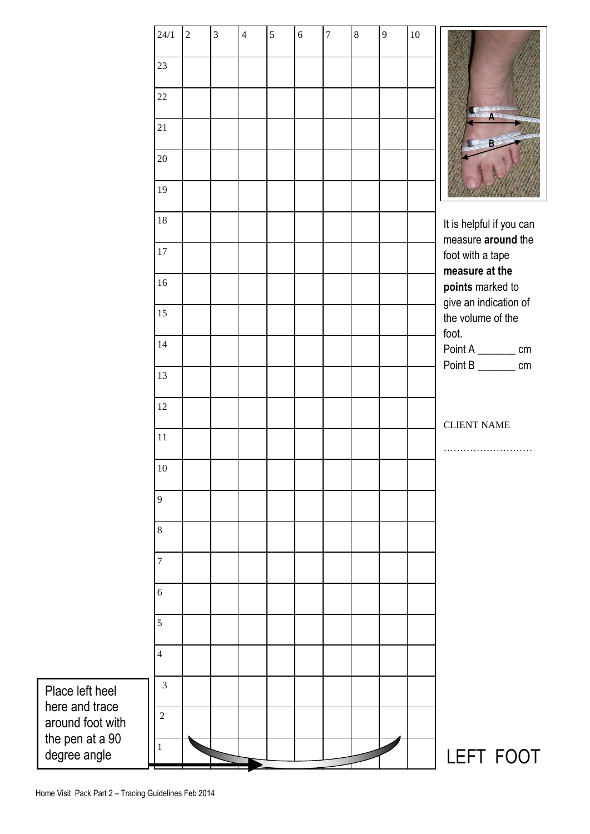|                                     | 24/1           | $\overline{2}$ | $\overline{3}$ | $\overline{4}$ | 5 | $\sqrt{6}$ | $\overline{7}$ | $\,8\,$ | 9 | $10\,$ |                                            |
|-------------------------------------|----------------|----------------|----------------|----------------|---|------------|----------------|---------|---|--------|--------------------------------------------|
|                                     | 23             |                |                |                |   |            |                |         |   |        |                                            |
|                                     | 22             |                |                |                |   |            |                |         |   |        |                                            |
|                                     | 21             |                |                |                |   |            |                |         |   |        |                                            |
|                                     | $20\,$         |                |                |                |   |            |                |         |   |        | $\mathbf{B}$                               |
|                                     | 19             |                |                |                |   |            |                |         |   |        |                                            |
|                                     | 18             |                |                |                |   |            |                |         |   |        | It is helpful if you can                   |
|                                     | $17\,$         |                |                |                |   |            |                |         |   |        | measure around the<br>foot with a tape     |
|                                     | 16             |                |                |                |   |            |                |         |   |        | measure at the<br>points marked to         |
|                                     | 15             |                |                |                |   |            |                |         |   |        | give an indication of<br>the volume of the |
|                                     | 14             |                |                |                |   |            |                |         |   |        | foot.<br>Point A _________ cm              |
|                                     | 13             |                |                |                |   |            |                |         |   |        | Point B _________ cm                       |
|                                     | 12             |                |                |                |   |            |                |         |   |        |                                            |
|                                     | 11             |                |                |                |   |            |                |         |   |        | <b>CLIENT NAME</b>                         |
|                                     | $10\,$         |                |                |                |   |            |                |         |   |        |                                            |
|                                     | 9              |                |                |                |   |            |                |         |   |        |                                            |
|                                     | $\,8\,$        |                |                |                |   |            |                |         |   |        |                                            |
|                                     | $\overline{7}$ |                |                |                |   |            |                |         |   |        |                                            |
|                                     | 6              |                |                |                |   |            |                |         |   |        |                                            |
|                                     | 5              |                |                |                |   |            |                |         |   |        |                                            |
|                                     | $\overline{4}$ |                |                |                |   |            |                |         |   |        |                                            |
|                                     | 3              |                |                |                |   |            |                |         |   |        |                                            |
| Place left heel<br>here and trace   | $\overline{2}$ |                |                |                |   |            |                |         |   |        |                                            |
| around foot with<br>the pen at a 90 | 1              |                |                |                |   |            |                |         |   |        |                                            |
| degree angle                        |                |                |                |                |   |            |                |         |   |        | LEFT FOOT                                  |